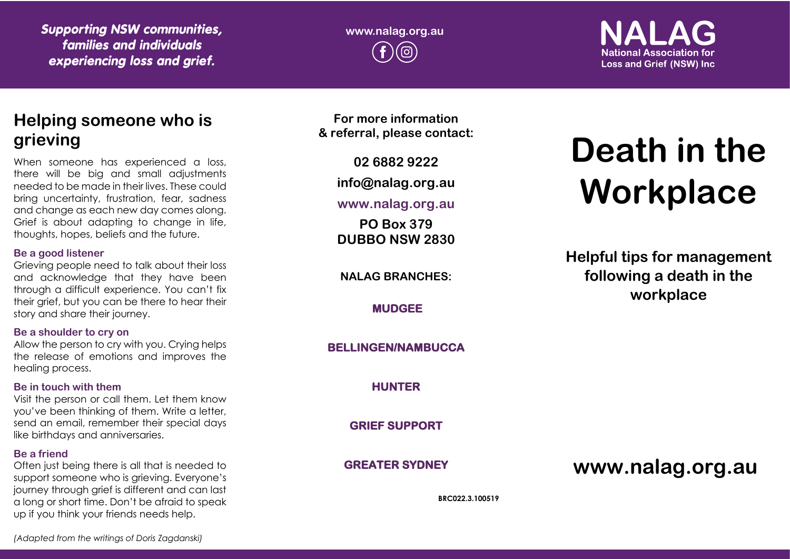*Supporting NSW communities, families and individuals experiencing loss and grief.*

**www.nalag.org.au**

**National Association for Loss and Grief (NSW) Inc.** 

# **Helping someone who is grieving**

When someone has experienced a loss, there will be big and small adjustments needed to be made in their lives. These could bring uncertainty, frustration, fear, sadness and change as each new day comes along. Grief is about adapting to change in life, thoughts, hopes, beliefs and the future.

#### **Be a good listener**

Grieving people need to talk about their loss and acknowledge that they have been through a difficult experience. You can't fix their grief, but you can be there to hear their story and share their journey.

### **Be a shoulder to cry on**

Allow the person to cry with you. Crying helps the release of emotions and improves the healing process.

### **Be in touch with them**

Visit the person or call them. Let them know you've been thinking of them. Write a letter, send an email, remember their special days like birthdays and anniversaries.

## **Be a friend**

Often just being there is all that is needed to support someone who is grieving. Everyone's journey through grief is different and can last a long or short time. Don't be afraid to speak up if you think your friends needs help.

**For more information & referral, please contact:**

**02 6882 9222**

**info@nalag.org.au**

## **www.nalag.org.au**

**PO Box 379 DUBBO NSW 2830**

**NALAG BRANCHES:**

**MUDGEE** 

## **BELLINGEN/NAMBUCCA**

**HUNTER** 

**GRIEF SUPPORT** 

**GREATER SYDNEY** 

# **www.nalag.org.au**

**BRC022.3.100519**

# **Death in the Workplace**

**Helpful tips for management following a death in the workplace**

*(Adapted from the writings of Doris Zagdanski)*